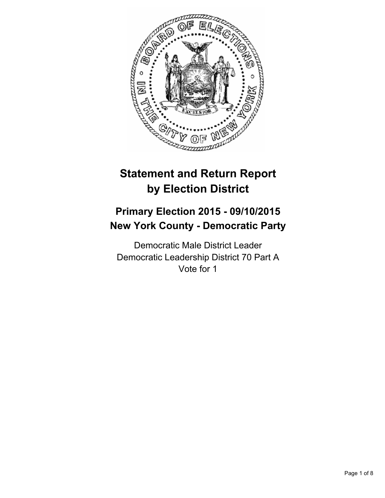

# **Statement and Return Report by Election District**

## **Primary Election 2015 - 09/10/2015 New York County - Democratic Party**

Democratic Male District Leader Democratic Leadership District 70 Part A Vote for 1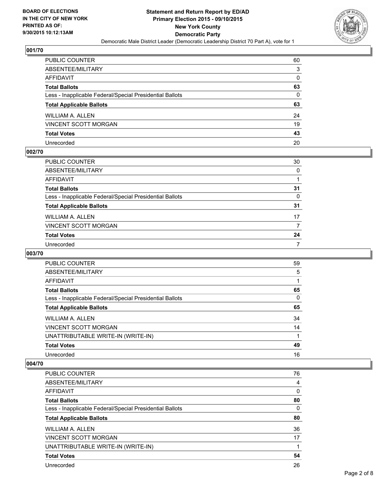

| PUBLIC COUNTER                                           | 60 |
|----------------------------------------------------------|----|
| ABSENTEE/MILITARY                                        | 3  |
| AFFIDAVIT                                                | 0  |
| Total Ballots                                            | 63 |
| Less - Inapplicable Federal/Special Presidential Ballots | 0  |
| <b>Total Applicable Ballots</b>                          | 63 |
| WILLIAM A. ALLEN                                         | 24 |
| VINCENT SCOTT MORGAN                                     | 19 |
| <b>Total Votes</b>                                       | 43 |
| Unrecorded                                               | 20 |

## **002/70**

| PUBLIC COUNTER                                           | 30 |
|----------------------------------------------------------|----|
| ABSENTEE/MILITARY                                        | 0  |
| AFFIDAVIT                                                |    |
| Total Ballots                                            | 31 |
| Less - Inapplicable Federal/Special Presidential Ballots | 0  |
| <b>Total Applicable Ballots</b>                          | 31 |
| WILLIAM A. ALLEN                                         | 17 |
| VINCENT SCOTT MORGAN                                     | 7  |
| <b>Total Votes</b>                                       | 24 |
| Unrecorded                                               | 7  |

## **003/70**

| <b>PUBLIC COUNTER</b>                                    | 59 |
|----------------------------------------------------------|----|
| ABSENTEE/MILITARY                                        | 5  |
| AFFIDAVIT                                                |    |
| <b>Total Ballots</b>                                     | 65 |
| Less - Inapplicable Federal/Special Presidential Ballots | 0  |
| <b>Total Applicable Ballots</b>                          | 65 |
| <b>WILLIAM A. ALLEN</b>                                  | 34 |
| <b>VINCENT SCOTT MORGAN</b>                              | 14 |
| UNATTRIBUTABLE WRITE-IN (WRITE-IN)                       |    |
| <b>Total Votes</b>                                       | 49 |
| Unrecorded                                               | 16 |

| 76 |
|----|
| 4  |
| 0  |
| 80 |
| 0  |
| 80 |
| 36 |
| 17 |
|    |
| 54 |
| 26 |
|    |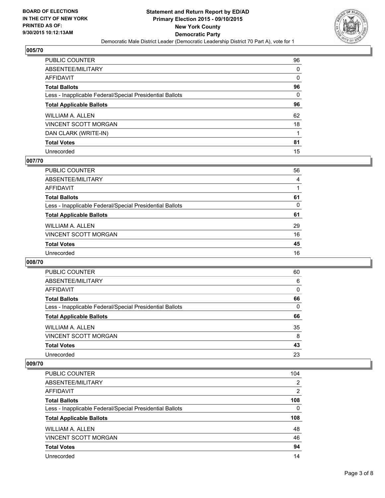

| PUBLIC COUNTER                                           | 96 |
|----------------------------------------------------------|----|
| ABSENTEE/MILITARY                                        | 0  |
| AFFIDAVIT                                                | 0  |
| <b>Total Ballots</b>                                     | 96 |
| Less - Inapplicable Federal/Special Presidential Ballots | 0  |
| <b>Total Applicable Ballots</b>                          | 96 |
| WILLIAM A. ALLEN                                         | 62 |
| VINCENT SCOTT MORGAN                                     | 18 |
| DAN CLARK (WRITE-IN)                                     |    |
| <b>Total Votes</b>                                       | 81 |
| Unrecorded                                               | 15 |

#### **007/70**

| PUBLIC COUNTER                                           | 56 |
|----------------------------------------------------------|----|
| ABSENTEE/MILITARY                                        | 4  |
| AFFIDAVIT                                                |    |
| <b>Total Ballots</b>                                     | 61 |
| Less - Inapplicable Federal/Special Presidential Ballots | 0  |
| <b>Total Applicable Ballots</b>                          | 61 |
| <b>WILLIAM A. ALLEN</b>                                  | 29 |
| <b>VINCENT SCOTT MORGAN</b>                              | 16 |
| <b>Total Votes</b>                                       | 45 |
| Unrecorded                                               | 16 |
|                                                          |    |

#### **008/70**

| <b>PUBLIC COUNTER</b>                                    | 60 |
|----------------------------------------------------------|----|
| ABSENTEE/MILITARY                                        | 6  |
| AFFIDAVIT                                                | 0  |
| <b>Total Ballots</b>                                     | 66 |
| Less - Inapplicable Federal/Special Presidential Ballots | 0  |
| <b>Total Applicable Ballots</b>                          | 66 |
| WILLIAM A. ALLEN                                         | 35 |
| <b>VINCENT SCOTT MORGAN</b>                              | 8  |
| <b>Total Votes</b>                                       | 43 |
| Unrecorded                                               | 23 |

| <b>PUBLIC COUNTER</b>                                    | 104      |
|----------------------------------------------------------|----------|
| ABSENTEE/MILITARY                                        | 2        |
| AFFIDAVIT                                                | 2        |
| <b>Total Ballots</b>                                     | 108      |
| Less - Inapplicable Federal/Special Presidential Ballots | $\Omega$ |
| <b>Total Applicable Ballots</b>                          | 108      |
| WILLIAM A. ALLEN                                         | 48       |
| <b>VINCENT SCOTT MORGAN</b>                              | 46       |
| <b>Total Votes</b>                                       | 94       |
|                                                          |          |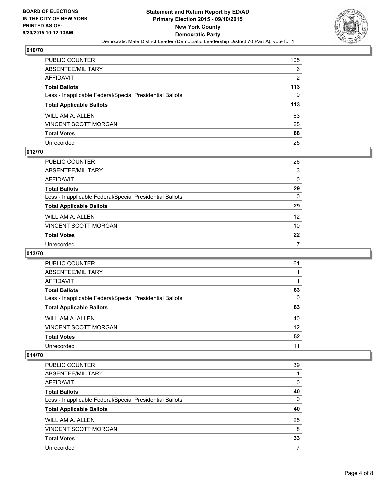

| PUBLIC COUNTER                                           | 105 |
|----------------------------------------------------------|-----|
| ABSENTEE/MILITARY                                        | 6   |
| AFFIDAVIT                                                | 2   |
| <b>Total Ballots</b>                                     | 113 |
| Less - Inapplicable Federal/Special Presidential Ballots | 0   |
| <b>Total Applicable Ballots</b>                          | 113 |
| WILLIAM A. ALLEN                                         | 63  |
| VINCENT SCOTT MORGAN                                     | 25  |
| <b>Total Votes</b>                                       | 88  |
| Unrecorded                                               | 25  |

#### **012/70**

| PUBLIC COUNTER                                           | 26              |
|----------------------------------------------------------|-----------------|
| ABSENTEE/MILITARY                                        | 3               |
| AFFIDAVIT                                                | $\mathbf{0}$    |
| Total Ballots                                            | 29              |
| Less - Inapplicable Federal/Special Presidential Ballots | $\mathbf{0}$    |
| <b>Total Applicable Ballots</b>                          | 29              |
| WILLIAM A. ALLEN                                         | 12 <sup>2</sup> |
| VINCENT SCOTT MORGAN                                     | 10              |
| Total Votes                                              | $22 \,$         |
| Unrecorded                                               | 7               |

## **013/70**

| PUBLIC COUNTER                                           | 61 |
|----------------------------------------------------------|----|
| ABSENTEE/MILITARY                                        |    |
| AFFIDAVIT                                                |    |
| <b>Total Ballots</b>                                     | 63 |
| Less - Inapplicable Federal/Special Presidential Ballots | 0  |
| <b>Total Applicable Ballots</b>                          | 63 |
| <b>WILLIAM A. ALLEN</b>                                  | 40 |
| <b>VINCENT SCOTT MORGAN</b>                              | 12 |
| <b>Total Votes</b>                                       | 52 |
| Unrecorded                                               | 11 |

| <b>PUBLIC COUNTER</b>                                    | 39 |
|----------------------------------------------------------|----|
| ABSENTEE/MILITARY                                        |    |
| AFFIDAVIT                                                | 0  |
| <b>Total Ballots</b>                                     | 40 |
| Less - Inapplicable Federal/Special Presidential Ballots | 0  |
| <b>Total Applicable Ballots</b>                          | 40 |
| <b>WILLIAM A. ALLEN</b>                                  | 25 |
| <b>VINCENT SCOTT MORGAN</b>                              | 8  |
| <b>Total Votes</b>                                       | 33 |
| Unrecorded                                               |    |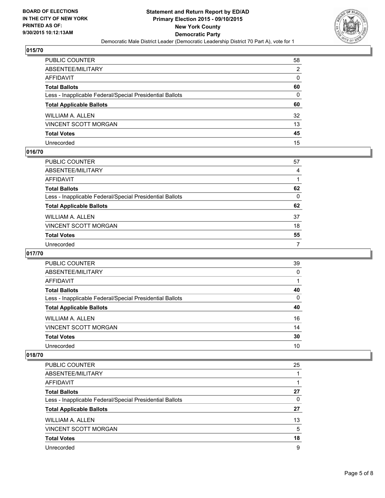

| PUBLIC COUNTER                                           | 58 |
|----------------------------------------------------------|----|
| ABSENTEE/MILITARY                                        | 2  |
| AFFIDAVIT                                                | 0  |
| Total Ballots                                            | 60 |
| Less - Inapplicable Federal/Special Presidential Ballots | 0  |
| <b>Total Applicable Ballots</b>                          | 60 |
| WILLIAM A. ALLEN                                         | 32 |
| VINCENT SCOTT MORGAN                                     | 13 |
| <b>Total Votes</b>                                       | 45 |
| Unrecorded                                               | 15 |

#### **016/70**

| 57 |
|----|
| 4  |
|    |
| 62 |
| 0  |
| 62 |
| 37 |
| 18 |
| 55 |
| 7  |
|    |

## **017/70**

| <b>PUBLIC COUNTER</b>                                    | 39 |
|----------------------------------------------------------|----|
| ABSENTEE/MILITARY                                        | 0  |
| AFFIDAVIT                                                |    |
| <b>Total Ballots</b>                                     | 40 |
| Less - Inapplicable Federal/Special Presidential Ballots | 0  |
| <b>Total Applicable Ballots</b>                          | 40 |
| <b>WILLIAM A. ALLEN</b>                                  | 16 |
| <b>VINCENT SCOTT MORGAN</b>                              | 14 |
| <b>Total Votes</b>                                       | 30 |
| Unrecorded                                               | 10 |
|                                                          |    |

| <b>PUBLIC COUNTER</b>                                    | 25 |
|----------------------------------------------------------|----|
| ABSENTEE/MILITARY                                        |    |
| <b>AFFIDAVIT</b>                                         |    |
| <b>Total Ballots</b>                                     | 27 |
| Less - Inapplicable Federal/Special Presidential Ballots | 0  |
| <b>Total Applicable Ballots</b>                          | 27 |
| WILLIAM A. ALLEN                                         | 13 |
| <b>VINCENT SCOTT MORGAN</b>                              | 5  |
| <b>Total Votes</b>                                       | 18 |
| Unrecorded                                               | 9  |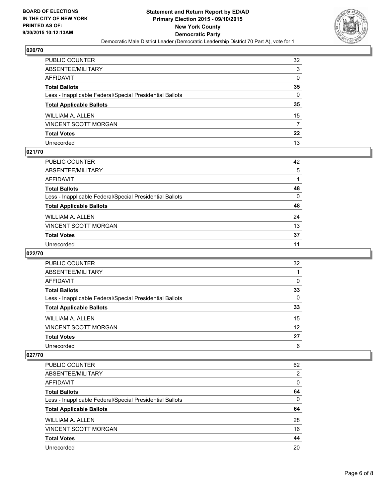

| PUBLIC COUNTER                                           | 32               |
|----------------------------------------------------------|------------------|
| ABSENTEE/MILITARY                                        | 3                |
| AFFIDAVIT                                                | 0                |
| <b>Total Ballots</b>                                     | 35               |
| Less - Inapplicable Federal/Special Presidential Ballots | 0                |
| <b>Total Applicable Ballots</b>                          | 35               |
| WILLIAM A. ALLEN                                         | 15               |
| VINCENT SCOTT MORGAN                                     | 7                |
| <b>Total Votes</b>                                       | $22\phantom{.0}$ |
| Unrecorded                                               | 13               |

## **021/70**

| PUBLIC COUNTER                                           | 42       |
|----------------------------------------------------------|----------|
| ABSENTEE/MILITARY                                        | 5        |
| AFFIDAVIT                                                |          |
| Total Ballots                                            | 48       |
| Less - Inapplicable Federal/Special Presidential Ballots | $\Omega$ |
| <b>Total Applicable Ballots</b>                          | 48       |
| WILLIAM A. ALLEN                                         | 24       |
| VINCENT SCOTT MORGAN                                     | 13       |
| Total Votes                                              | 37       |
| Unrecorded                                               | 11       |

#### **022/70**

| PUBLIC COUNTER                                           | 32 |
|----------------------------------------------------------|----|
| ABSENTEE/MILITARY                                        |    |
| AFFIDAVIT                                                | 0  |
| <b>Total Ballots</b>                                     | 33 |
| Less - Inapplicable Federal/Special Presidential Ballots | 0  |
| <b>Total Applicable Ballots</b>                          | 33 |
| <b>WILLIAM A. ALLEN</b>                                  | 15 |
| <b>VINCENT SCOTT MORGAN</b>                              | 12 |
| <b>Total Votes</b>                                       | 27 |
| Unrecorded                                               | 6  |

| PUBLIC COUNTER                                           | 62 |
|----------------------------------------------------------|----|
| ABSENTEE/MILITARY                                        | 2  |
| AFFIDAVIT                                                | 0  |
| <b>Total Ballots</b>                                     | 64 |
| Less - Inapplicable Federal/Special Presidential Ballots | 0  |
| <b>Total Applicable Ballots</b>                          | 64 |
| WILLIAM A. ALLEN                                         | 28 |
| <b>VINCENT SCOTT MORGAN</b>                              | 16 |
| <b>Total Votes</b>                                       | 44 |
|                                                          | 20 |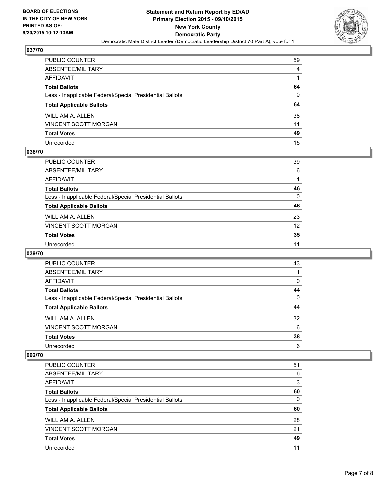

| PUBLIC COUNTER                                           | 59             |
|----------------------------------------------------------|----------------|
| ABSENTEE/MILITARY                                        | $\overline{4}$ |
| AFFIDAVIT                                                |                |
| Total Ballots                                            | 64             |
| Less - Inapplicable Federal/Special Presidential Ballots | $\mathbf{0}$   |
| <b>Total Applicable Ballots</b>                          | 64             |
| WILLIAM A. ALLEN                                         | 38             |
| VINCENT SCOTT MORGAN                                     | 11             |
| <b>Total Votes</b>                                       | 49             |
| Unrecorded                                               | 15             |

#### **038/70**

| PUBLIC COUNTER                                           | 39 |
|----------------------------------------------------------|----|
| ABSENTEE/MILITARY                                        | 6  |
| AFFIDAVIT                                                | 1  |
| Total Ballots                                            | 46 |
| Less - Inapplicable Federal/Special Presidential Ballots | 0  |
| <b>Total Applicable Ballots</b>                          | 46 |
| WILLIAM A. ALLEN                                         | 23 |
| VINCENT SCOTT MORGAN                                     | 12 |
| <b>Total Votes</b>                                       | 35 |
| Unrecorded                                               | 11 |

## **039/70**

| PUBLIC COUNTER                                           | 43 |
|----------------------------------------------------------|----|
| ABSENTEE/MILITARY                                        |    |
| AFFIDAVIT                                                | 0  |
| <b>Total Ballots</b>                                     | 44 |
| Less - Inapplicable Federal/Special Presidential Ballots | 0  |
| <b>Total Applicable Ballots</b>                          | 44 |
| <b>WILLIAM A. ALLEN</b>                                  | 32 |
| <b>VINCENT SCOTT MORGAN</b>                              | 6  |
| <b>Total Votes</b>                                       | 38 |
| Unrecorded                                               | 6  |

| <b>PUBLIC COUNTER</b>                                    | 51 |
|----------------------------------------------------------|----|
| ABSENTEE/MILITARY                                        | 6  |
| AFFIDAVIT                                                | 3  |
| <b>Total Ballots</b>                                     | 60 |
| Less - Inapplicable Federal/Special Presidential Ballots | 0  |
| <b>Total Applicable Ballots</b>                          | 60 |
| WILLIAM A. ALLEN                                         | 28 |
| <b>VINCENT SCOTT MORGAN</b>                              | 21 |
| <b>Total Votes</b>                                       | 49 |
|                                                          |    |